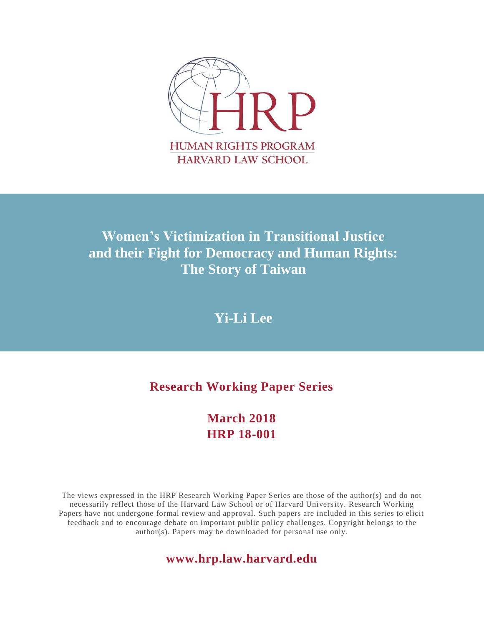

# **Women's Victimization in Transitional Justice and their Fight for Democracy and Human Rights: The Story of Taiwan**

# **Yi-Li Lee**

# **Research Working Paper Series**

### **March 2018 HRP 18-001**

The views expressed in the HRP Research Working Paper Series are those of the author(s) and do not necessarily reflect those of the Harvard Law School or of Harvard University. Research Working Papers have not undergone formal review and approval. Such papers are included in this series to elicit feedback and to encourage debate on important public policy challenges. Copyright belongs to the author(s). Papers may be downloaded for personal use only.

### **www.hrp.law.harvard.edu**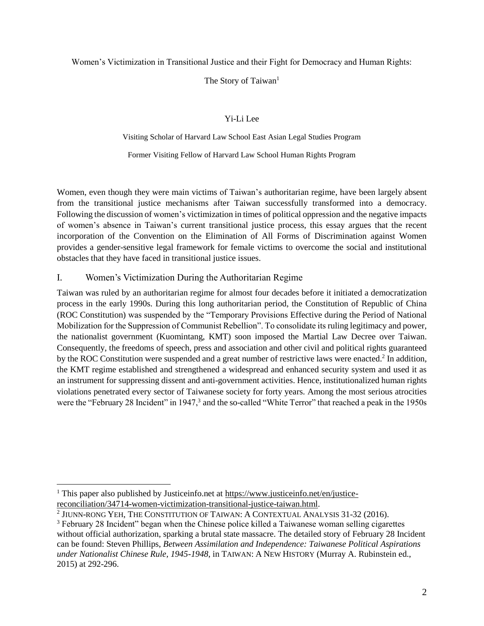#### Women's Victimization in Transitional Justice and their Fight for Democracy and Human Rights:

#### The Story of Taiwan<sup>1</sup>

#### Yi-Li Lee

### Visiting Scholar of Harvard Law School East Asian Legal Studies Program Former Visiting Fellow of Harvard Law School Human Rights Program

Women, even though they were main victims of Taiwan's authoritarian regime, have been largely absent from the transitional justice mechanisms after Taiwan successfully transformed into a democracy. Following the discussion of women's victimization in times of political oppression and the negative impacts of women's absence in Taiwan's current transitional justice process, this essay argues that the recent incorporation of the Convention on the Elimination of All Forms of Discrimination against Women provides a gender-sensitive legal framework for female victims to overcome the social and institutional obstacles that they have faced in transitional justice issues.

#### I. Women's Victimization During the Authoritarian Regime

Taiwan was ruled by an authoritarian regime for almost four decades before it initiated a democratization process in the early 1990s. During this long authoritarian period, the Constitution of Republic of China (ROC Constitution) was suspended by the "Temporary Provisions Effective during the Period of National Mobilization for the Suppression of Communist Rebellion". To consolidate its ruling legitimacy and power, the nationalist government (Kuomintang, KMT) soon imposed the Martial Law Decree over Taiwan. Consequently, the freedoms of speech, press and association and other civil and political rights guaranteed by the ROC Constitution were suspended and a great number of restrictive laws were enacted.<sup>2</sup> In addition, the KMT regime established and strengthened a widespread and enhanced security system and used it as an instrument for suppressing dissent and anti-government activities. Hence, institutionalized human rights violations penetrated every sector of Taiwanese society for forty years. Among the most serious atrocities were the "February 28 Incident" in 1947,<sup>3</sup> and the so-called "White Terror" that reached a peak in the 1950s

<sup>&</sup>lt;sup>1</sup> This paper also published by Justiceinfo.net at [https://www.justiceinfo.net/en/justice](https://urldefense.proofpoint.com/v2/url?u=https-3A__www.justiceinfo.net_en_justice-2Dreconciliation_34714-2Dwomen-2Dvictimization-2Dtransitional-2Djustice-2Dtaiwan.html&d=DwMFaQ&c=WO-RGvefibhHBZq3fL85hQ&r=af9PhbsDF_QnsEqtizIXkXMYJHE59_2yhmfEoOFBQbY&m=AXnBOVKYxqTmb2h0Mp-Pi_LZju77AtHzHJjafaFl2Kk&s=AYeKYemBzGRv-DyLYGCJurnK035DBpUMACS0qmVI3S8&e=)[reconciliation/34714-women-victimization-transitional-justice-taiwan.html.](https://urldefense.proofpoint.com/v2/url?u=https-3A__www.justiceinfo.net_en_justice-2Dreconciliation_34714-2Dwomen-2Dvictimization-2Dtransitional-2Djustice-2Dtaiwan.html&d=DwMFaQ&c=WO-RGvefibhHBZq3fL85hQ&r=af9PhbsDF_QnsEqtizIXkXMYJHE59_2yhmfEoOFBQbY&m=AXnBOVKYxqTmb2h0Mp-Pi_LZju77AtHzHJjafaFl2Kk&s=AYeKYemBzGRv-DyLYGCJurnK035DBpUMACS0qmVI3S8&e=)

 $^2$  Jiunn-rong Yeh, The Constitution of Taiwan: A Contextual Analysis 31-32 (2016).

<sup>&</sup>lt;sup>3</sup> February 28 Incident" began when the Chinese police killed a Taiwanese woman selling cigarettes without official authorization, sparking a brutal state massacre. The detailed story of February 28 Incident can be found: Steven Phillips, *Between Assimilation and Independence: Taiwanese Political Aspirations under Nationalist Chinese Rule, 1945-1948*, in TAIWAN: A NEW HISTORY (Murray A. Rubinstein ed., 2015) at 292-296.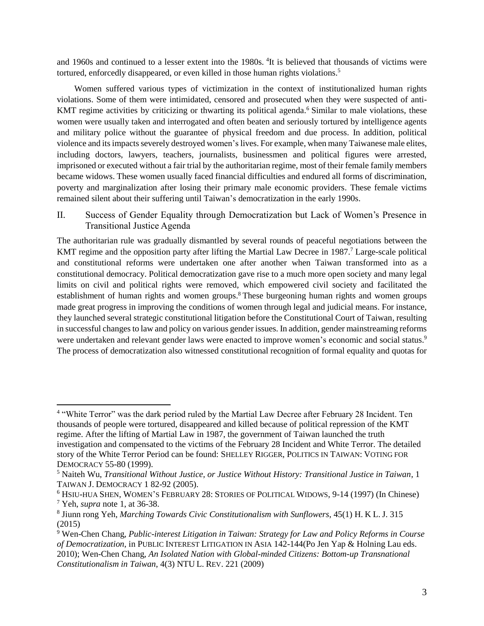and 1960s and continued to a lesser extent into the 1980s. <sup>4</sup>It is believed that thousands of victims were tortured, enforcedly disappeared, or even killed in those human rights violations.<sup>5</sup>

Women suffered various types of victimization in the context of institutionalized human rights violations. Some of them were intimidated, censored and prosecuted when they were suspected of anti-KMT regime activities by criticizing or thwarting its political agenda.<sup>6</sup> Similar to male violations, these women were usually taken and interrogated and often beaten and seriously tortured by intelligence agents and military police without the guarantee of physical freedom and due process. In addition, political violence and its impacts severely destroyed women's lives. For example, when many Taiwanese male elites, including doctors, lawyers, teachers, journalists, businessmen and political figures were arrested, imprisoned or executed without a fair trial by the authoritarian regime, most of their female family members became widows. These women usually faced financial difficulties and endured all forms of discrimination, poverty and marginalization after losing their primary male economic providers. These female victims remained silent about their suffering until Taiwan's democratization in the early 1990s.

II. Success of Gender Equality through Democratization but Lack of Women's Presence in Transitional Justice Agenda

The authoritarian rule was gradually dismantled by several rounds of peaceful negotiations between the KMT regime and the opposition party after lifting the Martial Law Decree in 1987.<sup>7</sup> Large-scale political and constitutional reforms were undertaken one after another when Taiwan transformed into as a constitutional democracy. Political democratization gave rise to a much more open society and many legal limits on civil and political rights were removed, which empowered civil society and facilitated the establishment of human rights and women groups.<sup>8</sup> These burgeoning human rights and women groups made great progress in improving the conditions of women through legal and judicial means. For instance, they launched several strategic constitutional litigation before the Constitutional Court of Taiwan, resulting in successful changes to law and policy on various gender issues. In addition, gender mainstreaming reforms were undertaken and relevant gender laws were enacted to improve women's economic and social status.<sup>9</sup> The process of democratization also witnessed constitutional recognition of formal equality and quotas for

<sup>&</sup>lt;sup>4</sup> "White Terror" was the dark period ruled by the Martial Law Decree after February 28 Incident. Ten thousands of people were tortured, disappeared and killed because of political repression of the KMT regime. After the lifting of Martial Law in 1987, the government of Taiwan launched the truth investigation and compensated to the victims of the February 28 Incident and White Terror. The detailed story of the White Terror Period can be found: SHELLEY RIGGER, POLITICS IN TAIWAN: VOTING FOR DEMOCRACY 55-80 (1999).

<sup>5</sup> Naiteh Wu, *Transitional Without Justice, or Justice Without History: Transitional Justice in Taiwan*, 1 TAIWAN J. DEMOCRACY 1 82-92 (2005).

<sup>6</sup> HSIU-HUA SHEN, WOMEN'S FEBRUARY 28: STORIES OF POLITICAL WIDOWS, 9-14 (1997) (In Chinese) <sup>7</sup> Yeh, *supra* note 1, at 36-38.

<sup>8</sup> Jiunn rong Yeh, *Marching Towards Civic Constitutionalism with Sunflowers*, 45(1) H. K L. J. 315 (2015)

<sup>9</sup> Wen-Chen Chang, *Public-interest Litigation in Taiwan: Strategy for Law and Policy Reforms in Course of Democratization*, in PUBLIC INTEREST LITIGATION IN ASIA 142-144(Po Jen Yap & Holning Lau eds. 2010); Wen-Chen Chang, *An Isolated Nation with Global-minded Citizens: Bottom-up Transnational Constitutionalism in Taiwan*, 4(3) NTU L. REV. 221 (2009)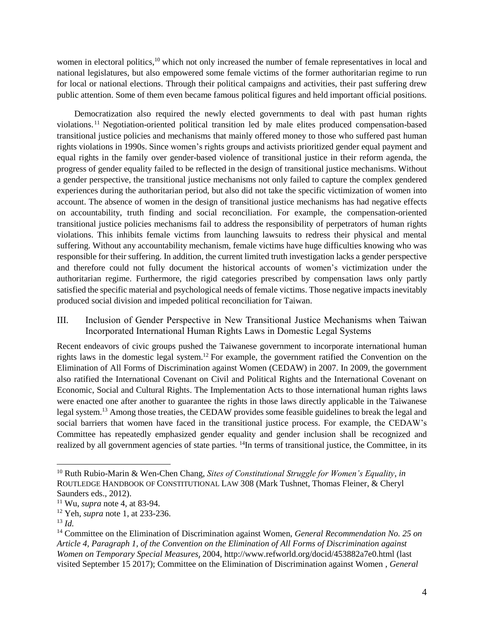women in electoral politics,<sup>10</sup> which not only increased the number of female representatives in local and national legislatures, but also empowered some female victims of the former authoritarian regime to run for local or national elections. Through their political campaigns and activities, their past suffering drew public attention. Some of them even became famous political figures and held important official positions.

Democratization also required the newly elected governments to deal with past human rights violations. <sup>11</sup> Negotiation-oriented political transition led by male elites produced compensation-based transitional justice policies and mechanisms that mainly offered money to those who suffered past human rights violations in 1990s. Since women's rights groups and activists prioritized gender equal payment and equal rights in the family over gender-based violence of transitional justice in their reform agenda, the progress of gender equality failed to be reflected in the design of transitional justice mechanisms. Without a gender perspective, the transitional justice mechanisms not only failed to capture the complex gendered experiences during the authoritarian period, but also did not take the specific victimization of women into account. The absence of women in the design of transitional justice mechanisms has had negative effects on accountability, truth finding and social reconciliation. For example, the compensation-oriented transitional justice policies mechanisms fail to address the responsibility of perpetrators of human rights violations. This inhibits female victims from launching lawsuits to redress their physical and mental suffering. Without any accountability mechanism, female victims have huge difficulties knowing who was responsible for their suffering. In addition, the current limited truth investigation lacks a gender perspective and therefore could not fully document the historical accounts of women's victimization under the authoritarian regime. Furthermore, the rigid categories prescribed by compensation laws only partly satisfied the specific material and psychological needs of female victims. Those negative impacts inevitably produced social division and impeded political reconciliation for Taiwan.

III. Inclusion of Gender Perspective in New Transitional Justice Mechanisms when Taiwan Incorporated International Human Rights Laws in Domestic Legal Systems

Recent endeavors of civic groups pushed the Taiwanese government to incorporate international human rights laws in the domestic legal system. <sup>12</sup> For example, the government ratified the Convention on the Elimination of All Forms of Discrimination against Women (CEDAW) in 2007. In 2009, the government also ratified the International Covenant on Civil and Political Rights and the International Covenant on Economic, Social and Cultural Rights. The Implementation Acts to those international human rights laws were enacted one after another to guarantee the rights in those laws directly applicable in the Taiwanese legal system.<sup>13</sup> Among those treaties, the CEDAW provides some feasible guidelines to break the legal and social barriers that women have faced in the transitional justice process. For example, the CEDAW's Committee has repeatedly emphasized gender equality and gender inclusion shall be recognized and realized by all government agencies of state parties. <sup>14</sup>In terms of transitional justice, the Committee, in its

 $\overline{a}$ 

<sup>10</sup> Ruth Rubio-Marin & Wen-Chen Chang, *Sites of Constitutional Struggle for Women's Equality*, *in* ROUTLEDGE HANDBOOK OF CONSTITUTIONAL LAW 308 (Mark Tushnet, Thomas Fleiner, & Cheryl Saunders eds., 2012).

<sup>11</sup> Wu, *supra* note 4, at 83-94.

<sup>12</sup> Yeh, *supra* note 1, at 233-236.

<sup>13</sup> *Id.* 

<sup>14</sup> Committee on the Elimination of Discrimination against Women, *General Recommendation No. 25 on Article 4, Paragraph 1, of the Convention on the Elimination of All Forms of Discrimination against Women on Temporary Special Measures*, 2004, http://www.refworld.org/docid/453882a7e0.html (last visited September 15 2017); Committee on the Elimination of Discrimination against Women , *General*